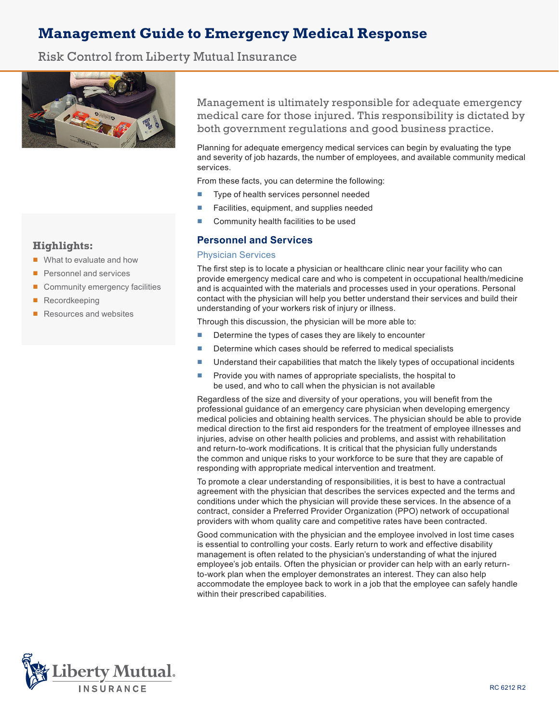# **Management Guide to Emergency Medical Response**

Risk Control from Liberty Mutual Insurance



# **Highlights:**

- What to evaluate and how
- Personnel and services
- Community emergency facilities
- **Recordkeeping**
- Resources and websites

Management is ultimately responsible for adequate emergency medical care for those injured. This responsibility is dictated by both government regulations and good business practice.

Planning for adequate emergency medical services can begin by evaluating the type and severity of job hazards, the number of employees, and available community medical services.

From these facts, you can determine the following:

- Type of health services personnel needed
- Facilities, equipment, and supplies needed
- Community health facilities to be used

# **Personnel and Services**

## Physician Services

The first step is to locate a physician or healthcare clinic near your facility who can provide emergency medical care and who is competent in occupational health/medicine and is acquainted with the materials and processes used in your operations. Personal contact with the physician will help you better understand their services and build their understanding of your workers risk of injury or illness.

Through this discussion, the physician will be more able to:

- Determine the types of cases they are likely to encounter
- Determine which cases should be referred to medical specialists
- Understand their capabilities that match the likely types of occupational incidents
- Provide you with names of appropriate specialists, the hospital to be used, and who to call when the physician is not available

Regardless of the size and diversity of your operations, you will benefit from the professional guidance of an emergency care physician when developing emergency medical policies and obtaining health services. The physician should be able to provide medical direction to the first aid responders for the treatment of employee illnesses and injuries, advise on other health policies and problems, and assist with rehabilitation and return-to-work modifications. It is critical that the physician fully understands the common and unique risks to your workforce to be sure that they are capable of responding with appropriate medical intervention and treatment.

To promote a clear understanding of responsibilities, it is best to have a contractual agreement with the physician that describes the services expected and the terms and conditions under which the physician will provide these services. In the absence of a contract, consider a Preferred Provider Organization (PPO) network of occupational providers with whom quality care and competitive rates have been contracted.

Good communication with the physician and the employee involved in lost time cases is essential to controlling your costs. Early return to work and effective disability management is often related to the physician's understanding of what the injured employee's job entails. Often the physician or provider can help with an early returnto-work plan when the employer demonstrates an interest. They can also help accommodate the employee back to work in a job that the employee can safely handle within their prescribed capabilities.

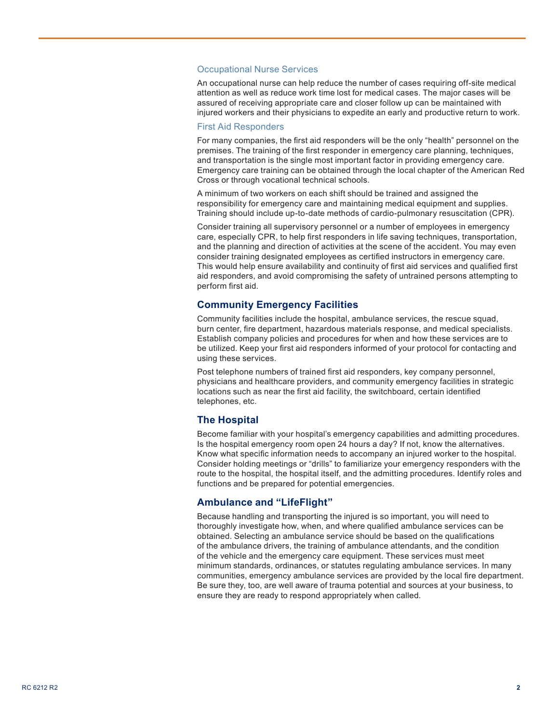#### Occupational Nurse Services

An occupational nurse can help reduce the number of cases requiring off-site medical attention as well as reduce work time lost for medical cases. The major cases will be assured of receiving appropriate care and closer follow up can be maintained with injured workers and their physicians to expedite an early and productive return to work.

#### First Aid Responders

For many companies, the first aid responders will be the only "health" personnel on the premises. The training of the first responder in emergency care planning, techniques, and transportation is the single most important factor in providing emergency care. Emergency care training can be obtained through the local chapter of the American Red Cross or through vocational technical schools.

A minimum of two workers on each shift should be trained and assigned the responsibility for emergency care and maintaining medical equipment and supplies. Training should include up-to-date methods of cardio-pulmonary resuscitation (CPR).

Consider training all supervisory personnel or a number of employees in emergency care, especially CPR, to help first responders in life saving techniques, transportation, and the planning and direction of activities at the scene of the accident. You may even consider training designated employees as certified instructors in emergency care. This would help ensure availability and continuity of first aid services and qualified first aid responders, and avoid compromising the safety of untrained persons attempting to perform first aid.

## **Community Emergency Facilities**

Community facilities include the hospital, ambulance services, the rescue squad, burn center, fire department, hazardous materials response, and medical specialists. Establish company policies and procedures for when and how these services are to be utilized. Keep your first aid responders informed of your protocol for contacting and using these services.

Post telephone numbers of trained first aid responders, key company personnel, physicians and healthcare providers, and community emergency facilities in strategic locations such as near the first aid facility, the switchboard, certain identified telephones, etc.

#### **The Hospital**

Become familiar with your hospital's emergency capabilities and admitting procedures. Is the hospital emergency room open 24 hours a day? If not, know the alternatives. Know what specific information needs to accompany an injured worker to the hospital. Consider holding meetings or "drills" to familiarize your emergency responders with the route to the hospital, the hospital itself, and the admitting procedures. Identify roles and functions and be prepared for potential emergencies.

## **Ambulance and "LifeFlight"**

Because handling and transporting the injured is so important, you will need to thoroughly investigate how, when, and where qualified ambulance services can be obtained. Selecting an ambulance service should be based on the qualifications of the ambulance drivers, the training of ambulance attendants, and the condition of the vehicle and the emergency care equipment. These services must meet minimum standards, ordinances, or statutes regulating ambulance services. In many communities, emergency ambulance services are provided by the local fire department. Be sure they, too, are well aware of trauma potential and sources at your business, to ensure they are ready to respond appropriately when called.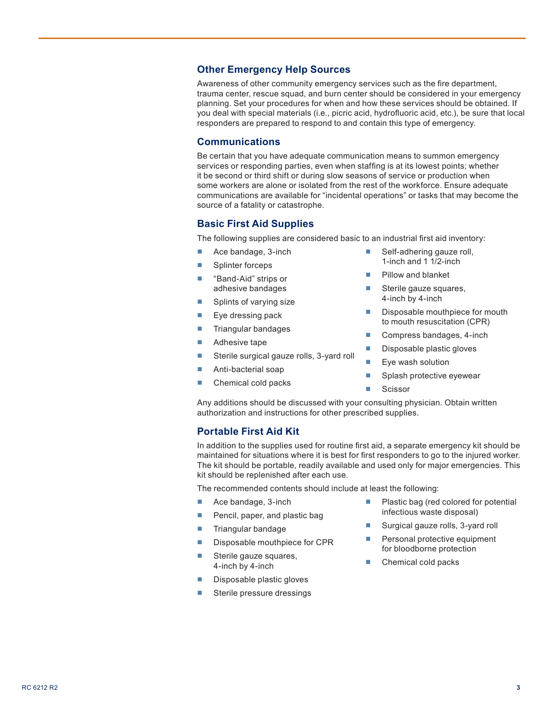# **Other Emergency Help Sources**

Awareness of other community emergency services such as the fire department, trauma center, rescue squad, and burn center should be considered in your emergency planning. Set your procedures for when and how these services should be obtained. If you deal with special materials (i.e., picric acid, hydrofluoric acid, etc.), be sure that local responders are prepared to respond to and contain this type of emergency.

## **Communications**

Be certain that you have adequate communication means to summon emergency services or responding parties, even when staffing is at its lowest points; whether it be second or third shift or during slow seasons of service or production when some workers are alone or isolated from the rest of the workforce. Ensure adequate communications are available for "incidental operations" or tasks that may become the source of a fatality or catastrophe.

## **Basic First Aid Supplies**

The following supplies are considered basic to an industrial first aid inventory:

- Ace bandage, 3-inch
- Splinter forceps
- "Band-Aid" strips or adhesive bandages
- Splints of varying size
- Eye dressing pack
- Triangular bandages
- Adhesive tape
- Sterile surgical gauze rolls, 3-yard roll
- Anti-bacterial soap
- Chemical cold packs
- Self-adhering gauze roll, 1-inch and 1 1/2-inch
- Pillow and blanket
- Sterile gauze squares, 4-inch by 4-inch
- Disposable mouthpiece for mouth to mouth resuscitation (CPR)
- Compress bandages, 4-inch
- Disposable plastic gloves
- Eye wash solution
- Splash protective eyewear
- Scissor

Any additions should be discussed with your consulting physician. Obtain written authorization and instructions for other prescribed supplies.

## **Portable First Aid Kit**

In addition to the supplies used for routine first aid, a separate emergency kit should be maintained for situations where it is best for first responders to go to the injured worker. The kit should be portable, readily available and used only for major emergencies. This kit should be replenished after each use.

The recommended contents should include at least the following:

- Ace bandage, 3-inch
- Pencil, paper, and plastic bag
- Triangular bandage
- Disposable mouthpiece for CPR
- Sterile gauze squares, 4-inch by 4-inch
- Disposable plastic gloves
- Sterile pressure dressings
- Plastic bag (red colored for potential infectious waste disposal)
- Surgical gauze rolls, 3-yard roll
- Personal protective equipment for bloodborne protection
- Chemical cold packs